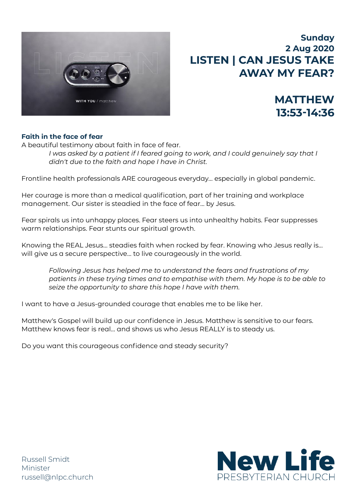

# **Sunday 2 Aug 2020 LISTEN | CAN JESUS TAKE AWAY MY FEAR?**

**MATTHEW** 

**13:53-14:36** 

# **Faith in the face of fear**

A beautiful testimony about faith in face of fear.

*I* was asked by a patient if I feared going to work, and I could genuinely say that I *didn't due to the faith and hope I have in Christ.* 

Frontline health professionals ARE courageous everyday… especially in global pandemic.

Her courage is more than a medical qualification, part of her training and workplace management. Our sister is steadied in the face of fear… by Jesus.

Fear spirals us into unhappy places. Fear steers us into unhealthy habits. Fear suppresses warm relationships. Fear stunts our spiritual growth.

Knowing the REAL Jesus… steadies faith when rocked by fear. Knowing who Jesus really is… will give us a secure perspective… to live courageously in the world.

*Following Jesus has helped me to understand the fears and frustrations of my patients in these trying times and to empathise with them. My hope is to be able to seize the opportunity to share this hope I have with them.* 

I want to have a Jesus-grounded courage that enables me to be like her.

Matthew's Gospel will build up our confidence in Jesus. Matthew is sensitive to our fears. Matthew knows fear is real… and shows us who Jesus REALLY is to steady us.

Do you want this courageous confidence and steady security?



Russell Smidt Minister [russell@nlpc.church](mailto:russell@nlpc.church)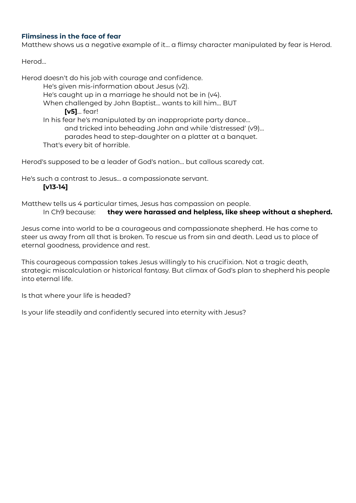# **Flimsiness in the face of fear**

Matthew shows us a negative example of it… a flimsy character manipulated by fear is Herod.

Herod…

Herod doesn't do his job with courage and confidence. He's given mis-information about Jesus (v2). He's caught up in a marriage he should not be in (v4). When challenged by John Baptist… wants to kill him… BUT **[v5]**… fear! In his fear he's manipulated by an inappropriate party dance… and tricked into beheading John and while 'distressed' (v9)… parades head to step-daughter on a platter at a banquet. That's every bit of horrible.

Herod's supposed to be a leader of God's nation… but callous scaredy cat.

He's such a contrast to Jesus… a compassionate servant.

#### **[v13-14]**

Matthew tells us 4 particular times, Jesus has compassion on people. In Ch9 because: **they were harassed and helpless, like sheep without a shepherd.**

Jesus come into world to be a courageous and compassionate shepherd. He has come to steer us away from all that is broken. To rescue us from sin and death. Lead us to place of eternal goodness, providence and rest.

This courageous compassion takes Jesus willingly to his crucifixion. Not a tragic death, strategic miscalculation or historical fantasy. But climax of God's plan to shepherd his people into eternal life.

Is that where your life is headed?

Is your life steadily and confidently secured into eternity with Jesus?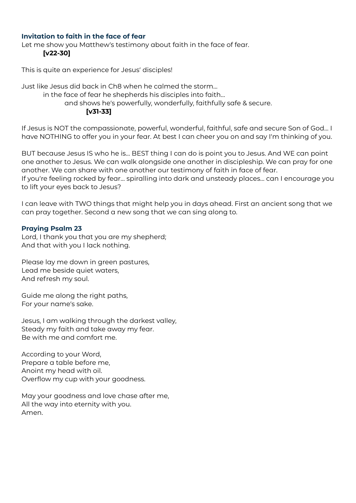## **Invitation to faith in the face of fear**

Let me show you Matthew's testimony about faith in the face of fear. **[v22-30]**

This is quite an experience for Jesus' disciples!

Just like Jesus did back in Ch8 when he calmed the storm…

in the face of fear he shepherds his disciples into faith…

and shows he's powerfully, wonderfully, faithfully safe & secure.

**[v31-33]**

If Jesus is NOT the compassionate, powerful, wonderful, faithful, safe and secure Son of God… I have NOTHING to offer you in your fear. At best I can cheer you on and say I'm thinking of you.

BUT because Jesus IS who he is… BEST thing I can do is point you to Jesus. And WE can point one another to Jesus. We can walk alongside one another in discipleship. We can pray for one another. We can share with one another our testimony of faith in face of fear.

If you're feeling rocked by fear… spiralling into dark and unsteady places… can I encourage you to lift your eyes back to Jesus?

I can leave with TWO things that might help you in days ahead. First an ancient song that we can pray together. Second a new song that we can sing along to.

#### **Praying Psalm 23**

Lord, I thank you that you are my shepherd; And that with you I lack nothing.

Please lay me down in green pastures, Lead me beside quiet waters, And refresh my soul.

Guide me along the right paths, For your name's sake.

Jesus, I am walking through the darkest valley, Steady my faith and take away my fear. Be with me and comfort me.

According to your Word, Prepare a table before me, Anoint my head with oil. Overflow my cup with your goodness.

May your goodness and love chase after me, All the way into eternity with you. Amen.